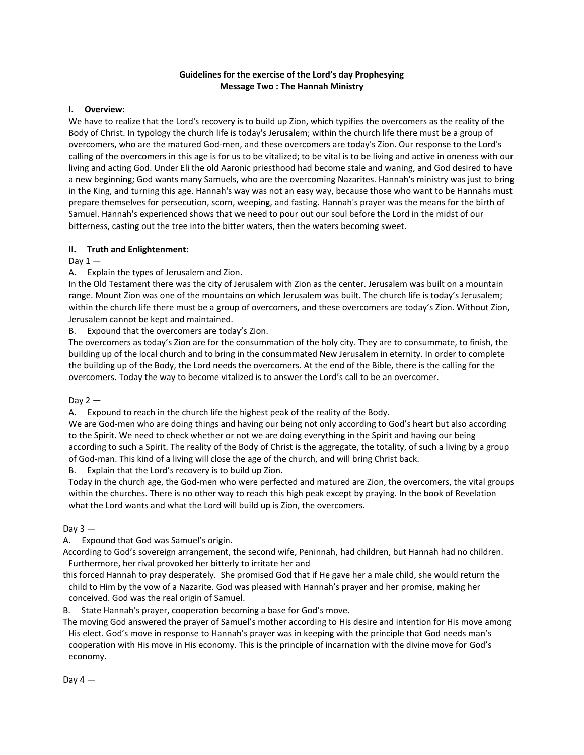# **Guidelines for the exercise of the Lord's day Prophesying Message Two : The Hannah Ministry**

### **I. Overview:**

We have to realize that the Lord's recovery is to build up Zion, which typifies the overcomers as the reality of the Body of Christ. In typology the church life is today's Jerusalem; within the church life there must be a group of overcomers, who are the matured God-men, and these overcomers are today's Zion. Our response to the Lord's calling of the overcomers in this age is for us to be vitalized; to be vital is to be living and active in oneness with our living and acting God. Under Eli the old Aaronic priesthood had become stale and waning, and God desired to have a new beginning; God wants many Samuels, who are the overcoming Nazarites. Hannah's ministry was just to bring in the King, and turning this age. Hannah's way was not an easy way, because those who want to be Hannahs must prepare themselves for persecution, scorn, weeping, and fasting. Hannah's prayer was the means for the birth of Samuel. Hannah's experienced shows that we need to pour out our soul before the Lord in the midst of our bitterness, casting out the tree into the bitter waters, then the waters becoming sweet.

#### **II. Truth and Enlightenment:**

Day  $1-$ 

A. Explain the types of Jerusalem and Zion.

In the Old Testament there was the city of Jerusalem with Zion as the center. Jerusalem was built on a mountain range. Mount Zion was one of the mountains on which Jerusalem was built. The church life is today's Jerusalem; within the church life there must be a group of overcomers, and these overcomers are today's Zion. Without Zion, Jerusalem cannot be kept and maintained.

B. Expound that the overcomers are today's Zion.

The overcomers as today's Zion are for the consummation of the holy city. They are to consummate, to finish, the building up of the local church and to bring in the consummated New Jerusalem in eternity. In order to complete the building up of the Body, the Lord needs the overcomers. At the end of the Bible, there is the calling for the overcomers. Today the way to become vitalized is to answer the Lord's call to be an overcomer.

Day  $2-$ 

A. Expound to reach in the church life the highest peak of the reality of the Body.

We are God-men who are doing things and having our being not only according to God's heart but also according to the Spirit. We need to check whether or not we are doing everything in the Spirit and having our being according to such a Spirit. The reality of the Body of Christ is the aggregate, the totality, of such a living by a group of God-man. This kind of a living will close the age of the church, and will bring Christ back.

Explain that the Lord's recovery is to build up Zion.

Today in the church age, the God-men who were perfected and matured are Zion, the overcomers, the vital groups within the churches. There is no other way to reach this high peak except by praying. In the book of Revelation what the Lord wants and what the Lord will build up is Zion, the overcomers.

# Day  $3 -$

A. Expound that God was Samuel's origin.

According to God's sovereign arrangement, the second wife, Peninnah, had children, but Hannah had no children. Furthermore, her rival provoked her bitterly to irritate her and

this forced Hannah to pray desperately. She promised God that if He gave her a male child, she would return the child to Him by the vow of a Nazarite. God was pleased with Hannah's prayer and her promise, making her conceived. God was the real origin of Samuel.

B. State Hannah's prayer, cooperation becoming a base for God's move.

The moving God answered the prayer of Samuel's mother according to His desire and intention for His move among His elect. God's move in response to Hannah's prayer was in keeping with the principle that God needs man's cooperation with His move in His economy. This is the principle of incarnation with the divine move for God's economy.